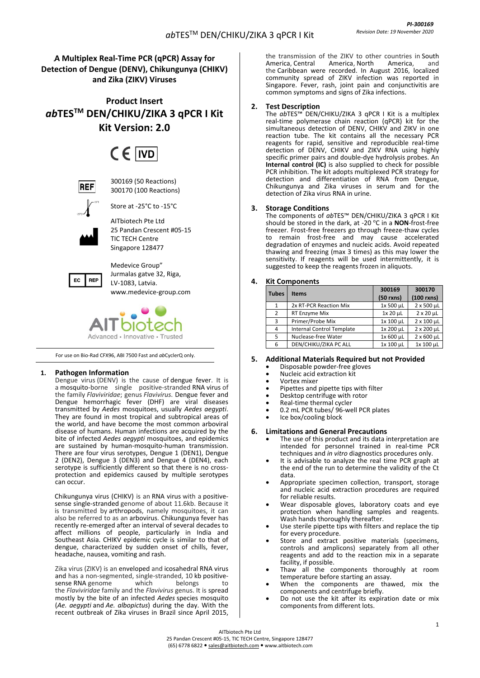## **A Multiplex Real-Time PCR (qPCR) Assay for Detection of Dengue (DENV), Chikungunya (CHIKV) and Zika (ZIKV) Viruses**

**Product Insert** *ab***TESTM DEN/CHIKU/ZIKA 3 qPCR I Kit Kit Version: 2.0**

# $CF$  IVD



300169 (50 Reactions) 300170 (100 Reactions)



Store at -25°C to -15°C

AITbiotech Pte Ltd

25 Pandan Crescent #05-15 TIC TECH Centre Singapore 128477



Medevice Group" Jurmalas gatve 32, Riga, LV-1083, Latvia. [www.medevice-group.com](http://www.medevice-group.com/)



For use on Bio-Rad CFX96, ABI 7500 Fast and *ab*CyclerQ only.

## **1. Pathogen Information**

Dengue virus (DENV) is the cause of dengue fever. It is a mosquito-borne single positive-stranded RNA virus of the family *Flaviviridae*; genus *Flavivirus*. Dengue fever and Dengue hemorrhagic fever (DHF) are viral diseases transmitted by *Aedes* mosquitoes, usually *Aedes aegypti*. They are found in most tropical and subtropical areas of the world, and have become the most common arboviral disease of humans. Human infections are acquired by the bite of infected *Aedes aegypti* mosquitoes, and epidemics are sustained by human-mosquito-human transmission. There are four virus serotypes, Dengue 1 (DEN1), Dengue 2 (DEN2), Dengue 3 (DEN3) and Dengue 4 (DEN4), each serotype is sufficiently different so that there is no crossprotection and epidemics caused by multiple serotypes can occur.

Chikungunya virus (CHIKV) is an RNA virus with a positivesense single-stranded genome of about 11.6kb. Because it is transmitted by arthropods, namely mosquitoes, it can also be referred to as an arbovirus. Chikungunya fever has recently re-emerged after an interval of several decades to affect millions of people, particularly in India and Southeast Asia. CHIKV epidemic cycle is similar to that of dengue, characterized by sudden onset of chills, fever, [headache,](http://www.medterms.com/script/main/art.asp?articlekey=20628) nausea, vomiting an[d rash.](http://www.medterms.com/script/main/art.asp?articlekey=1992)

Zika virus (ZIKV) is an enveloped and icosahedral RNA virus and has a non-segmented, single-stranded, 10 kb positive-<br>sense RNA genome which belongs to sense RNA genome the *Flaviviridae* family and the *Flavivirus* genus. It is spread mostly by the bite of an infected *Aedes* species mosquito (*Ae. aegypti* and *Ae. albopictus*) during the day. With the recent outbreak of Zika viruses in Brazil since April 2015,

the transmission of the ZIKV to other countries in South<br>America, Central America, North America, and America, North America, and the Caribbean were recorded. In August 2016, localized community spread of ZIKV infection was reported in Singapore. Fever, rash, joint pain and conjunctivitis are common symptoms and signs of Zika infections.

## **2. Test Description**

The *ab*TES™ DEN/CHIKU/ZIKA 3 qPCR I Kit is a multiplex real-time polymerase chain reaction (qPCR) kit for the simultaneous detection of DENV, CHIKV and ZIKV in one reaction tube. The kit contains all the necessary PCR reagents for rapid, sensitive and reproducible real-time detection of DENV, CHIKV and ZIKV RNA using highly specific primer pairs and double-dye hydrolysis probes. An **Internal control (IC)** is also supplied to check for possible PCR inhibition. The kit adopts multiplexed PCR strategy for detection and differentiation of RNA from Dengue, Chikungunya and Zika viruses in serum and for the detection of Zika virus RNA in urine.

## **3. Storage Conditions**

The components of *ab*TES™ DEN/CHIKU/ZIKA 3 qPCR I Kit should be stored in the dark, at -20 °C in a **NON**-frost-free freezer. Frost-free freezers go through freeze-thaw cycles to remain frost-free and may cause accelerated degradation of enzymes and nucleic acids. Avoid repeated thawing and freezing (max 3 times) as this may lower the sensitivity. If reagents will be used intermittently, it is suggested to keep the reagents frozen in aliquots.

## **4. Kit Components**

| <b>Tubes</b>  | <b>Items</b>                     | 300169<br>$(50$ rxns) | 300170<br>$(100$ rxns) |
|---------------|----------------------------------|-----------------------|------------------------|
| 1             | 2x RT-PCR Reaction Mix           | 1x 500 µL             | 2 x 500 µL             |
| $\mathcal{P}$ | RT Enzyme Mix                    | 1x 20 µL              | $2 \times 20 \mu L$    |
| 3             | Primer/Probe Mix                 | 1x 100 µL             | 2 x 100 µL             |
| 4             | <b>Internal Control Template</b> | 1x 200 µL             | 2 x 200 µL             |
| 5             | Nuclease-free Water              | 1x 600 µL             | $2 \times 600 \mu L$   |
| 6             | DEN/CHIKU/ZIKA PC ALL            | 1x 100 µL             | 1x 100 µL              |

## **5. Additional Materials Required but not Provided**

- Disposable powder-free gloves
- Nucleic acid extraction kit
- Vortex mixer
- Pipettes and pipette tips with filter
- Desktop centrifuge with rotor
- Real-time thermal cycler
- 0.2 mL PCR tubes/ 96-well PCR plates
- Ice box/cooling block

## **6. Limitations and General Precautions**

- The use of this product and its data interpretation are intended for personnel trained in real-time PCR techniques and *in vitro* diagnostics procedures only.
- It is advisable to analyze the real time PCR graph at the end of the run to determine the validity of the Ct data.
- Appropriate specimen collection, transport, storage and nucleic acid extraction procedures are required for reliable results.
- Wear disposable gloves, laboratory coats and eye protection when handling samples and reagents. Wash hands thoroughly thereafter.
- Use sterile pipette tips with filters and replace the tip for every procedure.
- Store and extract positive materials (specimens, controls and amplicons) separately from all other reagents and add to the reaction mix in a separate facility, if possible.
- Thaw all the components thoroughly at room temperature before starting an assay.
- When the components are thawed, mix the components and centrifuge briefly.
- Do not use the kit after its expiration date or mix components from different lots.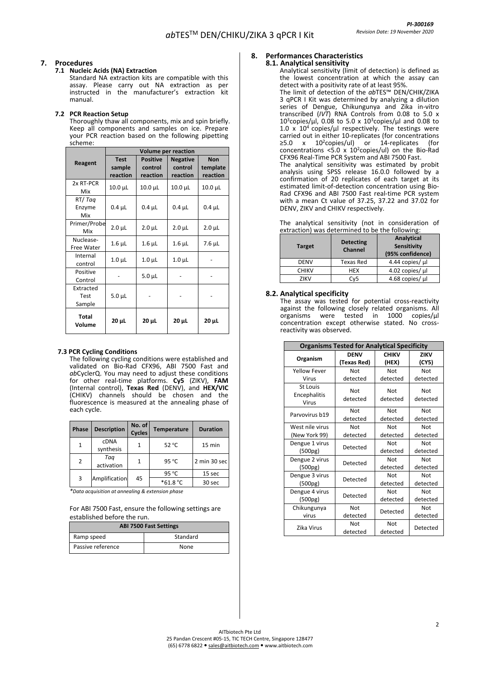## **7. Procedures**

## **7.1 Nucleic Acids (NA) Extraction**

Standard NA extraction kits are compatible with this assay. Please carry out NA extraction as per instructed in the manufacturer's extraction kit manual.

#### **7.2 PCR Reaction Setup**

Thoroughly thaw all components, mix and spin briefly. Keep all components and samples on ice. Prepare your PCR reaction based on the following pipetting scheme:

|                             | <b>Volume per reaction</b>        |                                        |                                        |                                    |  |
|-----------------------------|-----------------------------------|----------------------------------------|----------------------------------------|------------------------------------|--|
| Reagent                     | <b>Test</b><br>sample<br>reaction | <b>Positive</b><br>control<br>reaction | <b>Negative</b><br>control<br>reaction | <b>Non</b><br>template<br>reaction |  |
| 2x RT-PCR<br>Mix            | $10.0 \mu L$                      | $10.0 \mu L$                           | $10.0 \mu L$                           | $10.0 \mu L$                       |  |
| RT/Tag<br>Enzyme<br>Mix     | $0.4 \mu L$                       | $0.4 \mu L$                            | $0.4 \mu L$                            | $0.4 \mu L$                        |  |
| Primer/Probe<br>Mix         | $2.0 \mu L$                       | $2.0 \mu L$                            | $2.0 \mu L$                            | $2.0 \mu L$                        |  |
| Nuclease-<br>Free Water     | $1.6$ $\mu$ L                     | $1.6$ $\mu$ L                          | $1.6$ $\mu$ L                          | $7.6$ $\mu$ L                      |  |
| Internal<br>control         | $1.0 \mu L$                       | 1.0 <sub>µ</sub>                       | $1.0 \mu L$                            |                                    |  |
| Positive<br>Control         |                                   | $5.0 \mu L$                            |                                        |                                    |  |
| Extracted<br>Test<br>Sample | $5.0 \mu L$                       |                                        |                                        |                                    |  |
| Total<br>Volume             | $20 \mu L$                        | $20 \mu L$                             | $20 \mu L$                             | $20 \mu L$                         |  |

#### **7.3 PCR Cycling Conditions**

The following cycling conditions were established and validated on Bio-Rad CFX96, ABI 7500 Fast and *ab*CyclerQ. You may need to adjust these conditions for other real-time platforms. **Cy5** (ZIKV), **FAM** (Internal control), **Texas Red** (DENV), and **HEX/VIC** (CHIKV) channels should be chosen and the fluorescence is measured at the annealing phase of each cycle.

| <b>Phase</b> | <b>Description</b>       | No. of<br><b>Cycles</b> | <b>Temperature</b> | <b>Duration</b> |
|--------------|--------------------------|-------------------------|--------------------|-----------------|
|              | <b>CDNA</b><br>synthesis | 1                       | $52^{\circ}$ C     | 15 min          |
| 2            | Tag<br>activation        | 1                       | 95 °C              | 2 min 30 sec    |
|              |                          |                         | 95 °C              | 15 sec          |
| 3            | Amplification            | 45                      | *61.8 °C           | 30 sec          |

*\*Data acquisition at annealing & extension phase*

For ABI 7500 Fast, ensure the following settings are established before the run.

| <b>ABI 7500 Fast Settings</b> |      |  |  |  |
|-------------------------------|------|--|--|--|
| Standard<br>Ramp speed        |      |  |  |  |
| Passive reference             | None |  |  |  |

#### **8. Performances Characteristics 8.1. Analytical sensitivity**

#### Analytical sensitivity (limit of detection) is defined as the lowest concentration at which the assay can detect with a positivity rate of at least 95%. The limit of detection of the *ab*TES™ DEN/CHIK/ZIKA 3 qPCR I Kit was determined by analyzing a dilution series of Dengue, Chikungunya and Zika in-vitro transcribed (*IVT*) RNA Controls from 0.08 to 5.0 x 10<sup>3</sup>copies/µl, 0.08 to 5.0 x 10<sup>3</sup>copies/µl and 0.08 to 1.0 x  $10^4$  copies/µl respectively. The testings were carried out in either 10-replicates (for concentrations ≥5.0 x 10<sup>2</sup> copies/ul) or 14-replicates (for concentrations <5.0  $\times$  10<sup>2</sup>copies/ul) on the Bio-Rad CFX96 Real-Time PCR System and ABI 7500 Fast. The analytical sensitivity was estimated by probit analysis using SPSS release 16.0.0 followed by a confirmation of 20 replicates of each target at its estimated limit-of-detection concentration using Bio-

The analytical sensitivity (not in consideration of extraction) was determined to be the following:

Rad CFX96 and ABI 7500 Fast real-time PCR system with a mean Ct value of 37.25, 37.22 and 37.02 for

DENV, ZIKV and CHIKV respectively.

| <b>Target</b> | <b>Detecting</b><br><b>Channel</b> | Analytical<br>Sensitivity<br>(95% confidence) |
|---------------|------------------------------------|-----------------------------------------------|
| <b>DENV</b>   | Texas Red                          | 4.44 copies/ µl                               |
| <b>CHIKV</b>  | <b>HEX</b>                         | 4.02 copies/ µl                               |
| 7IKV          | Cv5                                | 4.68 copies/ µl                               |

## **8.2. Analytical specificity**

The assay was tested for potential cross-reactivity against the following closely related organisms. All organisms were tested in 1000 copies/µl concentration except otherwise stated. No crossreactivity was observed.

| <b>Organisms Tested for Analytical Specificity</b> |                            |                       |                      |  |  |
|----------------------------------------------------|----------------------------|-----------------------|----------------------|--|--|
| Organism                                           | <b>DENV</b><br>(Texas Red) | <b>CHIKV</b><br>(HEX) | <b>ZIKV</b><br>(CY5) |  |  |
| <b>Yellow Fever</b>                                | Not                        | Not                   | Not                  |  |  |
| Virus                                              | detected                   | detected              | detected             |  |  |
| St Louis<br>Encephalitis<br>Virus                  | Not<br>detected            | Not<br>detected       | Not<br>detected      |  |  |
| Parvovirus b19                                     | Not                        | Not                   | Not                  |  |  |
|                                                    | detected                   | detected              | detected             |  |  |
| West nile virus                                    | Not                        | Not                   | Not                  |  |  |
| (New York 99)                                      | detected                   | detected              | detected             |  |  |
| Dengue 1 virus                                     |                            | Not                   | Not                  |  |  |
| (500pg)                                            | Detected                   |                       | detected             |  |  |
| Dengue 2 virus                                     | Detected                   | Not                   | Not                  |  |  |
| (500pg)                                            |                            | detected              | detected             |  |  |
| Dengue 3 virus                                     | Detected                   | Not                   | Not                  |  |  |
| (500pg)                                            |                            | detected              | detected             |  |  |
| Dengue 4 virus                                     | Detected                   | Not                   | Not                  |  |  |
| (500pg)                                            |                            | detected              | detected             |  |  |
| Chikungunya                                        | Not                        |                       | Not                  |  |  |
| virus                                              | detected                   | Detected              | detected             |  |  |
| Zika Virus                                         | Not<br>detected            | Not<br>detected       | Detected             |  |  |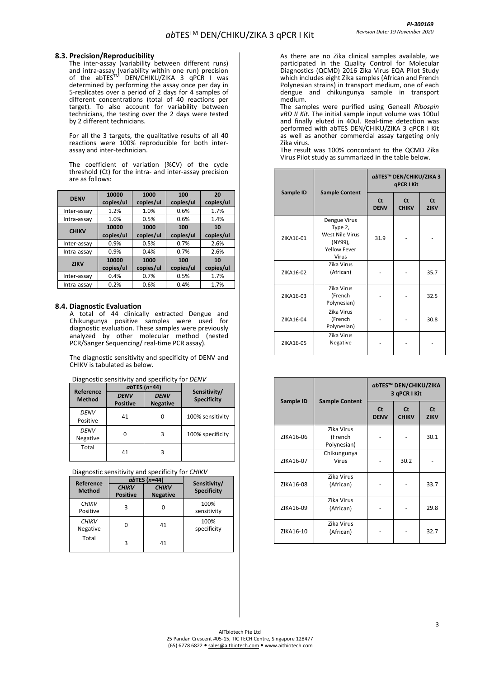#### **8.3. Precision/Reproducibility**

The inter-assay (variability between different runs) and intra-assay (variability within one run) precision of the abTES™ DEN/CHIKU/ZIKA 3 qPCR I was determined by performing the assay once per day in 5-replicates over a period of 2 days for 4 samples of different concentrations (total of 40 reactions per target). To also account for variability between technicians, the testing over the 2 days were tested by 2 different technicians.

For all the 3 targets, the qualitative results of all 40 reactions were 100% reproducible for both interassay and inter-technician.

The coefficient of variation (%CV) of the cycle threshold (Ct) for the intra- and inter-assay precision are as follows:

| <b>DENV</b>  | 10000<br>copies/ul | 1000<br>copies/ul | 100<br>copies/ul | 20<br>copies/ul |
|--------------|--------------------|-------------------|------------------|-----------------|
| Inter-assay  | 1.2%               | 1.0%              | 0.6%             | 1.7%            |
| Intra-assay  | 1.0%               | 0.5%              | 0.6%             | 1.4%            |
| <b>CHIKV</b> | 10000              | 1000              | 100              | 10              |
|              | copies/ul          | copies/ul         | copies/ul        | copies/ul       |
| Inter-assay  | 0.9%               | 0.5%              | 0.7%             | 2.6%            |
| Intra-assay  | 0.9%               | 0.4%              | 0.7%             | 2.6%            |
| <b>ZIKV</b>  | 10000<br>copies/ul | 1000<br>copies/ul | 100<br>copies/ul | 10<br>copies/ul |
| Inter-assay  | 0.4%               | 0.7%              | 0.5%             | 1.7%            |
| Intra-assay  | 0.2%               | 0.6%              | 0.4%             | 1.7%            |

#### **8.4. Diagnostic Evaluation**

A total of 44 clinically extracted Dengue and Chikungunya positive samples were used for diagnostic evaluation. These samples were previously analyzed by other molecular method (nested PCR/Sanger Sequencing/ real-time PCR assay).

The diagnostic sensitivity and specificity of DENV and CHIKV is tabulated as below.

Diagnostic sensitivity and specificity for *DENV*

| Reference        | $ab$ TES (n=44)                |                                |                                    |  |
|------------------|--------------------------------|--------------------------------|------------------------------------|--|
| <b>Method</b>    | <b>DENV</b><br><b>Positive</b> | <b>DENV</b><br><b>Negative</b> | Sensitivity/<br><b>Specificity</b> |  |
| DENV<br>Positive | 41                             | 0                              | 100% sensitivity                   |  |
| DENV<br>Negative |                                | 3                              | 100% specificity                   |  |
| Total            | 41                             | 3                              |                                    |  |

Diagnostic sensitivity and specificity for *CHIKV*

| Reference                |                                 | $ab$ TES (n=44)                 |                                    |
|--------------------------|---------------------------------|---------------------------------|------------------------------------|
| <b>Method</b>            | <b>CHIKV</b><br><b>Positive</b> | <b>CHIKV</b><br><b>Negative</b> | Sensitivity/<br><b>Specificity</b> |
| <b>CHIKV</b><br>Positive | 3                               |                                 | 100%<br>sensitivity                |
| <b>CHIKV</b><br>Negative |                                 | 41                              | 100%<br>specificity                |
| Total                    | 3                               | 41                              |                                    |

As there are no Zika clinical samples available, we participated in the Quality Control for Molecular Diagnostics (QCMD) 2016 Zika Virus EQA Pilot Study which includes eight Zika samples (African and French Polynesian strains) in transport medium, one of each dengue and chikungunya sample in transport medium.

The samples were purified using Geneall *Ribospin vRD II Kit.* The initial sample input volume was 100ul and finally eluted in 40ul. Real-time detection was performed with abTES DEN/CHIKU/ZIKA 3 qPCR I Kit as well as another commercial assay targeting only Zika virus.

The result was 100% concordant to the QCMD Zika Virus Pilot study as summarized in the table below.

|           |                                                                                       | abTES™ DEN/CHIKU/ZIKA 3<br>qPCR I Kit |                           |                          |
|-----------|---------------------------------------------------------------------------------------|---------------------------------------|---------------------------|--------------------------|
| Sample ID | <b>Sample Content</b>                                                                 | <b>Ct</b><br><b>DENV</b>              | <b>Ct</b><br><b>CHIKV</b> | <b>Ct</b><br><b>ZIKV</b> |
| ZIKA16-01 | Dengue Virus<br>Type 2,<br>West Nile Virus<br>(NY99),<br><b>Yellow Fever</b><br>Virus | 31.9                                  |                           |                          |
| ZIKA16-02 | Zika Virus<br>(African)                                                               |                                       |                           | 35.7                     |
| ZIKA16-03 | Zika Virus<br>(French<br>Polynesian)                                                  |                                       |                           | 32.5                     |
| ZIKA16-04 | Zika Virus<br>(French<br>Polynesian)                                                  |                                       |                           | 30.8                     |
| ZIKA16-05 | Zika Virus<br>Negative                                                                |                                       |                           |                          |

|           |                                      | abTES™ DEN/CHIKU/ZIKA<br>3 qPCR I Kit |                           |                          |
|-----------|--------------------------------------|---------------------------------------|---------------------------|--------------------------|
| Sample ID | <b>Sample Content</b>                | <b>Ct</b><br><b>DENV</b>              | <b>Ct</b><br><b>CHIKV</b> | <b>Ct</b><br><b>ZIKV</b> |
| ZIKA16-06 | Zika Virus<br>(French<br>Polynesian) |                                       |                           | 30.1                     |
| ZIKA16-07 | Chikungunya<br><b>Virus</b>          |                                       | 30.2                      |                          |
| ZIKA16-08 | Zika Virus<br>(African)              |                                       |                           | 33.7                     |
| ZIKA16-09 | Zika Virus<br>(African)              |                                       |                           | 29.8                     |
| ZIKA16-10 | Zika Virus<br>(African)              |                                       |                           | 32.7                     |